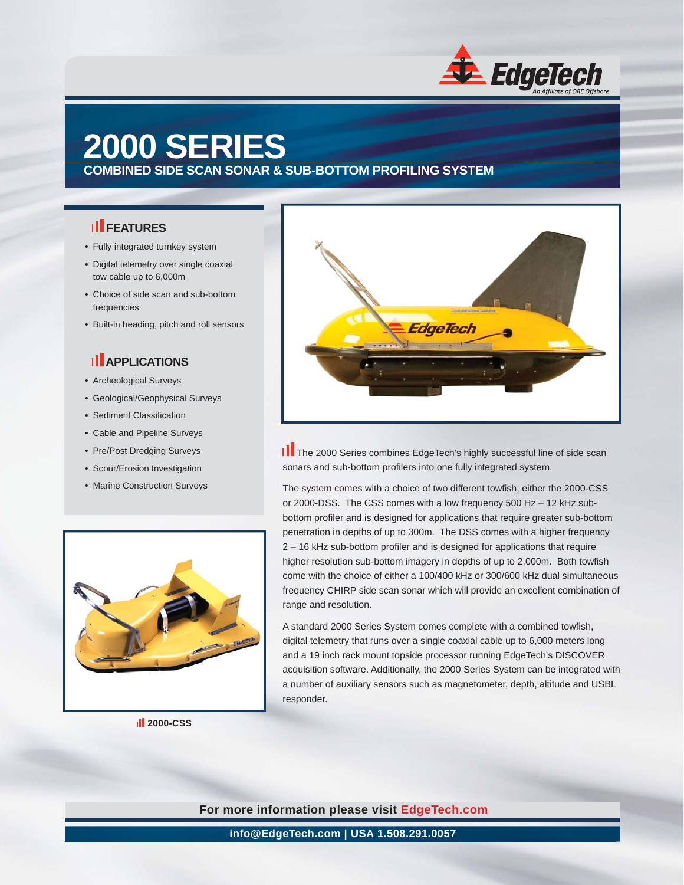

## **2000 SERIES**

**COMBINED SIDE SCAN SONAR & SUB-BOTTOM PROFILING SYSTEM**

#### **II** FEATURES

- Fully integrated turnkey system
- Digital telemetry over single coaxial tow cable up to 6,000m
- Choice of side scan and sub-bottom frequencies
- Built-in heading, pitch and roll sensors

### **II** APPLICATIONS

- Archeological Surveys
- Geological/Geophysical Surveys
- Sediment Classification
- Cable and Pipeline Surveys
- Pre/Post Dredging Surveys
- Scour/Erosion Investigation
- Marine Construction Surveys



 **2000-CSS**



II The 2000 Series combines EdgeTech's highly successful line of side scan sonars and sub-bottom profilers into one fully integrated system.

The system comes with a choice of two different towfish; either the 2000-CSS or 2000-DSS. The CSS comes with a low frequency 500 Hz – 12 kHz subbottom profiler and is designed for applications that require greater sub-bottom penetration in depths of up to 300m. The DSS comes with a higher frequency 2 – 16 kHz sub-bottom profiler and is designed for applications that require higher resolution sub-bottom imagery in depths of up to 2,000m. Both towfish come with the choice of either a 100/400 kHz or 300/600 kHz dual simultaneous frequency CHIRP side scan sonar which will provide an excellent combination of range and resolution.

A standard 2000 Series System comes complete with a combined towfish, digital telemetry that runs over a single coaxial cable up to 6,000 meters long and a 19 inch rack mount topside processor running EdgeTech's DISCOVER acquisition software. Additionally, the 2000 Series System can be integrated with a number of auxiliary sensors such as magnetometer, depth, altitude and USBL responder.

**For more information please visit EdgeTech.com**